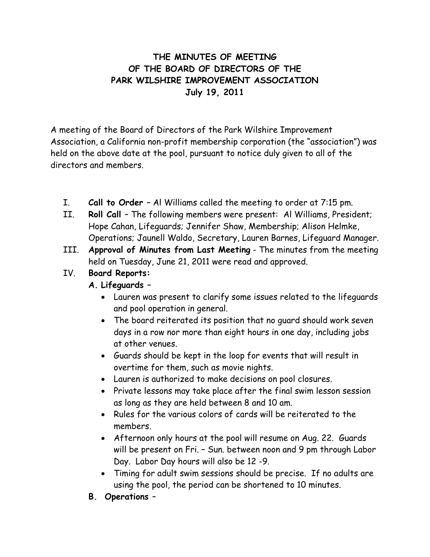# **THE MINUTES OF MEETING OF THE BOARD OF DIRECTORS OF THE PARK WILSHIRE IMPROVEMENT ASSOCIATION July 19, 2011**

A meeting of the Board of Directors of the Park Wilshire Improvement Association, a California non-profit membership corporation (the "association") was held on the above date at the pool, pursuant to notice duly given to all of the directors and members.

- I. **Call to Order**  Al Williams called the meeting to order at 7:15 pm.
- II. **Roll Call** The following members were present: Al Williams, President; Hope Cahan, Lifeguards; Jennifer Shaw, Membership; Alison Helmke, Operations; Jaunell Waldo, Secretary, Lauren Barnes, Lifeguard Manager.
- III. **Approval of Minutes from Last Meeting** The minutes from the meeting held on Tuesday, June 21, 2011 were read and approved.

# **:** IV. **Board Reports**

### **A. Lifeguards –**

- Lauren was present to clarify some issues related to the lifeguards and pool operation in general.
- The board reiterated its position that no guard should work seven days in a row nor more than eight hours in one day, including jobs at other venues.
- Guards should be kept in the loop for events that will result in overtime for them, such as movie nights.
- Lauren is authorized to make decisions on pool closures.
- Private lessons may take place after the final swim lesson session as long as they are held between 8 and 10 am.
- Rules for the various colors of cards will be reiterated to the members.
- Afternoon only hours at the pool will resume on Aug. 22. Guards will be present on Fri. – Sun. between noon and 9 pm through Labor Day. Labor Day hours will also be 12 -9.
- Timing for adult swim sessions should be precise. If no adults are using the pool, the period can be shortened to 10 minutes.
- **B. Operations** –